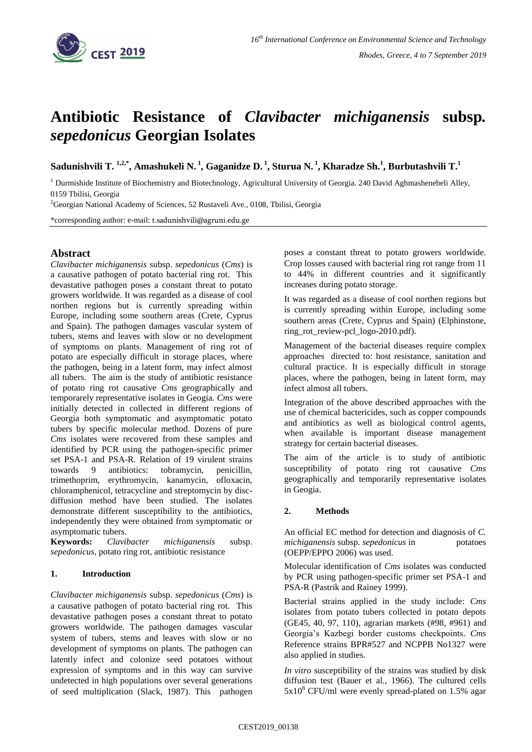

# **Antibiotic Resistance of** *Clavibacter michiganensis* **subsp***. sepedonicus* **Georgian Isolates**

**Sadunishvili T. 1,2,\* , Amashukeli N. 1 , Gaganidze D. <sup>1</sup> , Sturua N. <sup>1</sup> , Kharadze Sh.<sup>1</sup> , Burbutashvili T. 1**

<sup>1</sup> Durmishide Institute of Biochemistry and Biotechnology, Agricultural University of Georgia. 240 David Aghmashenebeli Alley, 0159 Tbilisi, Georgia

<sup>2</sup>Georgian National Academy of Sciences, 52 Rustaveli Ave., 0108, Tbilisi, Georgia

\*corresponding author: e-mail: t.sadunishvili@agruni.edu.ge

## **Abstract**

*Clavibacter michiganensis* subsp. *sepedonicus* (*Cms*) is a causative pathogen of potato bacterial ring rot. This devastative pathogen poses a constant threat to potato growers worldwide. It was regarded as a disease of cool northen regions but is currently spreading within Europe, including some southern areas (Crete, Cyprus and Spain). The pathogen damages vascular system of tubers, stems and leaves with slow or no development of symptoms on plants. Management of ring rot of potato are especially difficult in storage places, where the pathogen, being in a latent form, may infect almost all tubers. The aim is the study of antibiotic resistance of potato ring rot causative *Cms* geographically and temporarely representative isolates in Geogia. *Cms* were initially detected in collected in different regions of Georgia both symptomatic and asymptomatic potato tubers by specific molecular method. Dozens of pure *Cms* isolates were recovered from these samples and identified by PCR using the pathogen-specific primer set PSA-1 and PSA-R. Relation of 19 virulent strains towards 9 antibiotics: tobramycin, penicillin, trimethoprim, erythromycin, kanamycin, ofloxacin, chloramphenicol, tetracycline and streptomycin by discdiffusion method have been studied. The isolates demonstrate different susceptibility to the antibiotics, independently they were obtained from symptomatic or asymptomatic tubers.

**Keywords:** *Clavibacter michiganensis* subsp. *sepedonicus,* potato ring rot, antibiotic resistance

### **1. Introduction**

*Clavibacter michiganensis* subsp. *sepedonicus* (*Cms*) is a causative pathogen of potato bacterial ring rot. This devastative pathogen poses a constant threat to potato growers worldwide. The pathogen damages vascular system of tubers, stems and leaves with slow or no development of symptoms on plants. The pathogen can latently infect and colonize seed potatoes without expression of symptoms and in this way can survive undetected in high populations over several generations of seed multiplication (Slack, 1987). This pathogen

poses a constant threat to potato growers worldwide. Crop losses caused with bacterial ring rot range from 11 to 44% in different countries and it significantly increases during potato storage.

It was regarded as a disease of cool northen regions but is currently spreading within Europe, including some southern areas (Crete, Cyprus and Spain) (Elphinstone, ring\_rot\_review-pcl\_logo-2010.pdf).

Management of the bacterial diseases require complex approaches directed to: host resistance, sanitation and cultural practice. It is especially difficult in storage places, where the pathogen, being in latent form, may infect almost all tubers.

Integration of the above described approaches with the use of chemical bactericides, such as copper compounds and antibiotics as well as biological control agents, when available is important disease management strategy for certain bacterial diseases.

The aim of the article is to study of antibiotic susceptibility of potato ring rot causative *Cms*  geographically and temporarily representative isolates in Geogia.

### **2. Methods**

An official EC method for detection and diagnosis of *C. michiganensis* subsp. *sepedonicus* in potatoes (OEPP/EPPO 2006) was used.

Molecular identification of *Cms* isolates was conducted by PCR using pathogen-specific primer set PSA-1 and PSA-R (Pastrik and Rainey 1999).

Bacterial strains applied in the study include: *Cms* isolates from potato tubers collected in potato depots (GE45, 40, 97, 110), agrarian markets (#98, #961) and Georgia's Kazbegi border customs checkpoints. *Cms* Reference strains BPR#527 and NCPPB No1327 were also applied in studies.

*In vitro* susceptibility of the strains was studied by disk diffusion test (Bauer et al., 1966). The cultured cells  $5x10^8$  CFU/ml were evenly spread-plated on 1.5% agar